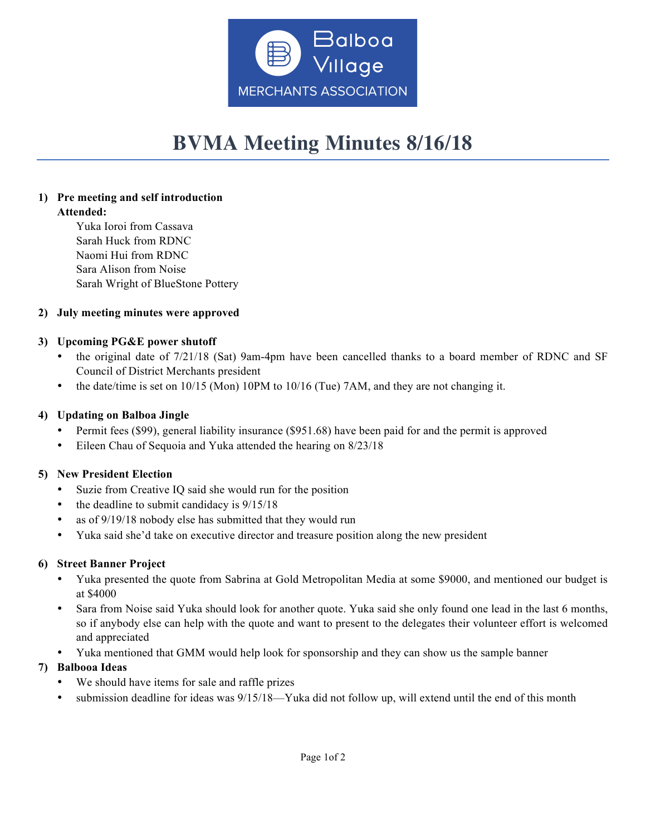

# **BVMA Meeting Minutes 8/16/18**

### **1) Pre meeting and self introduction Attended:**

Yuka Ioroi from Cassava Sarah Huck from RDNC Naomi Hui from RDNC Sara Alison from Noise Sarah Wright of BlueStone Pottery

# **2) July meeting minutes were approved**

## **3) Upcoming PG&E power shutoff**

- the original date of 7/21/18 (Sat) 9am-4pm have been cancelled thanks to a board member of RDNC and SF Council of District Merchants president
- the date/time is set on  $10/15$  (Mon) 10PM to  $10/16$  (Tue) 7AM, and they are not changing it.

## **4) Updating on Balboa Jingle**

- Permit fees (\$99), general liability insurance (\$951.68) have been paid for and the permit is approved
- Eileen Chau of Sequoia and Yuka attended the hearing on 8/23/18

### **5) New President Election**

- Suzie from Creative IQ said she would run for the position
- the deadline to submit candidacy is  $9/15/18$
- as of 9/19/18 nobody else has submitted that they would run
- Yuka said she'd take on executive director and treasure position along the new president

### **6) Street Banner Project**

- Yuka presented the quote from Sabrina at Gold Metropolitan Media at some \$9000, and mentioned our budget is at \$4000
- Sara from Noise said Yuka should look for another quote. Yuka said she only found one lead in the last 6 months, so if anybody else can help with the quote and want to present to the delegates their volunteer effort is welcomed and appreciated
- Yuka mentioned that GMM would help look for sponsorship and they can show us the sample banner

# **7) Balbooa Ideas**

- We should have items for sale and raffle prizes
- submission deadline for ideas was 9/15/18—Yuka did not follow up, will extend until the end of this month